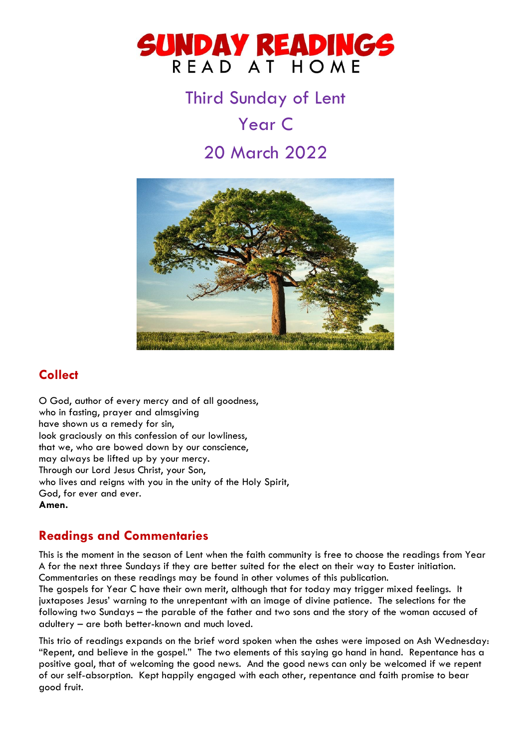

# Third Sunday of Lent Year C 20 March 2022



# **Collect**

O God, author of every mercy and of all goodness, who in fasting, prayer and almsgiving have shown us a remedy for sin, look graciously on this confession of our lowliness, that we, who are bowed down by our conscience, may always be lifted up by your mercy. Through our Lord Jesus Christ, your Son, who lives and reigns with you in the unity of the Holy Spirit, God, for ever and ever. **Amen.** 

# **Readings and Commentaries**

This is the moment in the season of Lent when the faith community is free to choose the readings from Year A for the next three Sundays if they are better suited for the elect on their way to Easter initiation. Commentaries on these readings may be found in other volumes of this publication.

The gospels for Year C have their own merit, although that for today may trigger mixed feelings. It juxtaposes Jesus' warning to the unrepentant with an image of divine patience. The selections for the following two Sundays – the parable of the father and two sons and the story of the woman accused of adultery – are both better-known and much loved.

This trio of readings expands on the brief word spoken when the ashes were imposed on Ash Wednesday: "Repent, and believe in the gospel." The two elements of this saying go hand in hand. Repentance has a positive goal, that of welcoming the good news. And the good news can only be welcomed if we repent of our self-absorption. Kept happily engaged with each other, repentance and faith promise to bear good fruit.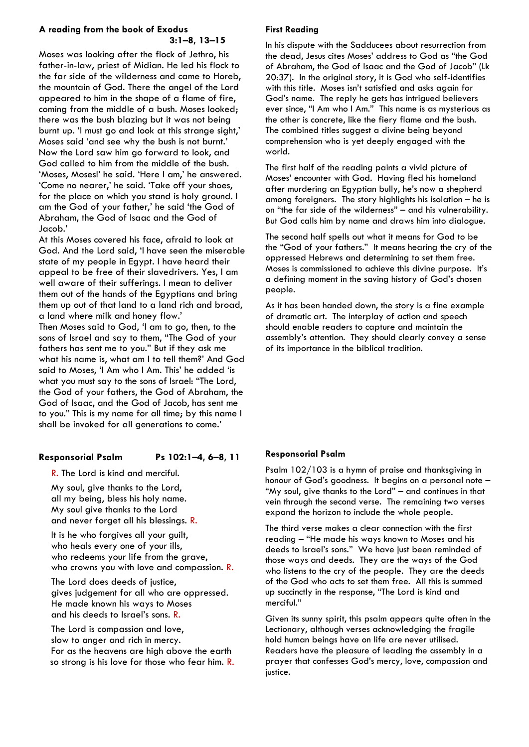#### **A reading from the book of Exodus 3:1–8, 13–15**

Moses was looking after the flock of Jethro, his father-in-law, priest of Midian. He led his flock to the far side of the wilderness and came to Horeb, the mountain of God. There the angel of the Lord appeared to him in the shape of a flame of fire, coming from the middle of a bush. Moses looked; there was the bush blazing but it was not being burnt up. 'I must go and look at this strange sight,' Moses said 'and see why the bush is not burnt.' Now the Lord saw him go forward to look, and God called to him from the middle of the bush. 'Moses, Moses!' he said. 'Here I am,' he answered. 'Come no nearer,' he said. 'Take off your shoes, for the place on which you stand is holy ground. I am the God of your father,' he said 'the God of Abraham, the God of Isaac and the God of Jacob.'

At this Moses covered his face, afraid to look at God. And the Lord said, 'I have seen the miserable state of my people in Egypt. I have heard their appeal to be free of their slavedrivers. Yes, I am well aware of their sufferings. I mean to deliver them out of the hands of the Egyptians and bring them up out of that land to a land rich and broad, a land where milk and honey flow.' Then Moses said to God, 'I am to go, then, to the sons of Israel and say to them, "The God of your fathers has sent me to you." But if they ask me what his name is, what am I to tell them?' And God said to Moses, 'I Am who I Am. This' he added 'is what you must say to the sons of Israel: "The Lord, the God of your fathers, the God of Abraham, the

God of Isaac, and the God of Jacob, has sent me to you." This is my name for all time; by this name I shall be invoked for all generations to come.'

### **Responsorial Psalm Ps 102:1–4, 6–8, 11**

R. The Lord is kind and merciful.

My soul, give thanks to the Lord, all my being, bless his holy name. My soul give thanks to the Lord and never forget all his blessings. R.

It is he who forgives all your guilt, who heals every one of your ills, who redeems your life from the grave, who crowns you with love and compassion. R.

The Lord does deeds of justice, gives judgement for all who are oppressed. He made known his ways to Moses and his deeds to Israel's sons. R.

The Lord is compassion and love, slow to anger and rich in mercy. For as the heavens are high above the earth so strong is his love for those who fear him. R.

### **First Reading**

In his dispute with the Sadducees about resurrection from the dead, Jesus cites Moses' address to God as "the God of Abraham, the God of Isaac and the God of Jacob" (Lk 20:37). In the original story, it is God who self-identifies with this title. Moses isn't satisfied and asks again for God's name. The reply he gets has intrigued believers ever since, "I Am who I Am." This name is as mysterious as the other is concrete, like the fiery flame and the bush. The combined titles suggest a divine being beyond comprehension who is yet deeply engaged with the world.

The first half of the reading paints a vivid picture of Moses' encounter with God. Having fled his homeland after murdering an Egyptian bully, he's now a shepherd among foreigners. The story highlights his isolation – he is on "the far side of the wilderness" – and his vulnerability. But God calls him by name and draws him into dialogue.

The second half spells out what it means for God to be the "God of your fathers." It means hearing the cry of the oppressed Hebrews and determining to set them free. Moses is commissioned to achieve this divine purpose. It's a defining moment in the saving history of God's chosen people.

As it has been handed down, the story is a fine example of dramatic art. The interplay of action and speech should enable readers to capture and maintain the assembly's attention. They should clearly convey a sense of its importance in the biblical tradition.

### **Responsorial Psalm**

Psalm 102/103 is a hymn of praise and thanksgiving in honour of God's goodness. It begins on a personal note – "My soul, give thanks to the Lord" – and continues in that vein through the second verse. The remaining two verses expand the horizon to include the whole people.

The third verse makes a clear connection with the first reading – "He made his ways known to Moses and his deeds to Israel's sons." We have just been reminded of those ways and deeds. They are the ways of the God who listens to the cry of the people. They are the deeds of the God who acts to set them free. All this is summed up succinctly in the response, "The Lord is kind and merciful."

Given its sunny spirit, this psalm appears quite often in the Lectionary, although verses acknowledging the fragile hold human beings have on life are never utilised. Readers have the pleasure of leading the assembly in a prayer that confesses God's mercy, love, compassion and justice.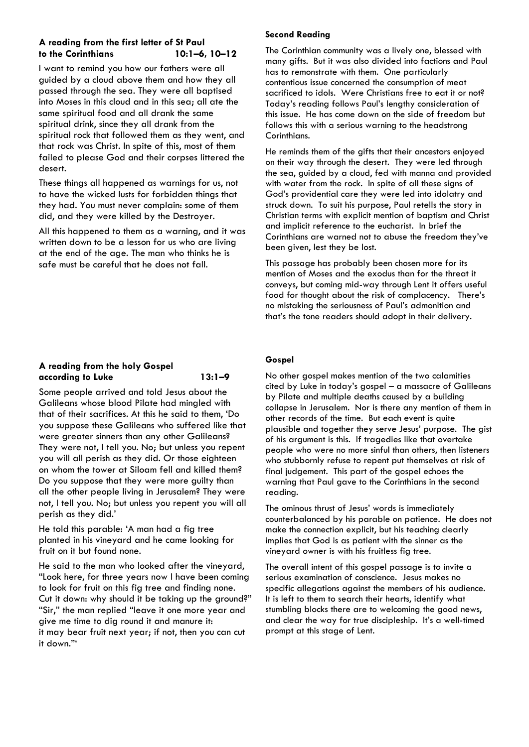#### **A reading from the first letter of St Paul to the Corinthians 10:1–6, 10–12**

I want to remind you how our fathers were all guided by a cloud above them and how they all passed through the sea. They were all baptised into Moses in this cloud and in this sea; all ate the same spiritual food and all drank the same spiritual drink, since they all drank from the spiritual rock that followed them as they went, and that rock was Christ. In spite of this, most of them failed to please God and their corpses littered the desert.

These things all happened as warnings for us, not to have the wicked lusts for forbidden things that they had. You must never complain: some of them did, and they were killed by the Destroyer.

All this happened to them as a warning, and it was written down to be a lesson for us who are living at the end of the age. The man who thinks he is safe must be careful that he does not fall.

#### **A reading from the holy Gospel according to Luke 13:1–9**

Some people arrived and told Jesus about the Galileans whose blood Pilate had mingled with that of their sacrifices. At this he said to them, 'Do you suppose these Galileans who suffered like that were greater sinners than any other Galileans? They were not, I tell you. No; but unless you repent you will all perish as they did. Or those eighteen on whom the tower at Siloam fell and killed them? Do you suppose that they were more guilty than all the other people living in Jerusalem? They were not, I tell you. No; but unless you repent you will all perish as they did.'

He told this parable: 'A man had a fig tree planted in his vineyard and he came looking for fruit on it but found none.

He said to the man who looked after the vineyard, "Look here, for three years now I have been coming to look for fruit on this fig tree and finding none. Cut it down: why should it be taking up the ground?" "Sir," the man replied "leave it one more year and give me time to dig round it and manure it: it may bear fruit next year; if not, then you can cut it down."'

#### **Second Reading**

The Corinthian community was a lively one, blessed with many gifts. But it was also divided into factions and Paul has to remonstrate with them. One particularly contentious issue concerned the consumption of meat sacrificed to idols. Were Christians free to eat it or not? Today's reading follows Paul's lengthy consideration of this issue. He has come down on the side of freedom but follows this with a serious warning to the headstrong Corinthians.

He reminds them of the gifts that their ancestors enjoyed on their way through the desert. They were led through the sea, guided by a cloud, fed with manna and provided with water from the rock. In spite of all these signs of God's providential care they were led into idolatry and struck down. To suit his purpose, Paul retells the story in Christian terms with explicit mention of baptism and Christ and implicit reference to the eucharist. In brief the Corinthians are warned not to abuse the freedom they've been given, lest they be lost.

This passage has probably been chosen more for its mention of Moses and the exodus than for the threat it conveys, but coming mid-way through Lent it offers useful food for thought about the risk of complacency. There's no mistaking the seriousness of Paul's admonition and that's the tone readers should adopt in their delivery.

#### **Gospel**

No other gospel makes mention of the two calamities cited by Luke in today's gospel – a massacre of Galileans by Pilate and multiple deaths caused by a building collapse in Jerusalem. Nor is there any mention of them in other records of the time. But each event is quite plausible and together they serve Jesus' purpose. The gist of his argument is this. If tragedies like that overtake people who were no more sinful than others, then listeners who stubbornly refuse to repent put themselves at risk of final judgement. This part of the gospel echoes the warning that Paul gave to the Corinthians in the second reading.

The ominous thrust of Jesus' words is immediately counterbalanced by his parable on patience. He does not make the connection explicit, but his teaching clearly implies that God is as patient with the sinner as the vineyard owner is with his fruitless fig tree.

The overall intent of this gospel passage is to invite a serious examination of conscience. Jesus makes no specific allegations against the members of his audience. It is left to them to search their hearts, identify what stumbling blocks there are to welcoming the good news, and clear the way for true discipleship. It's a well-timed prompt at this stage of Lent.